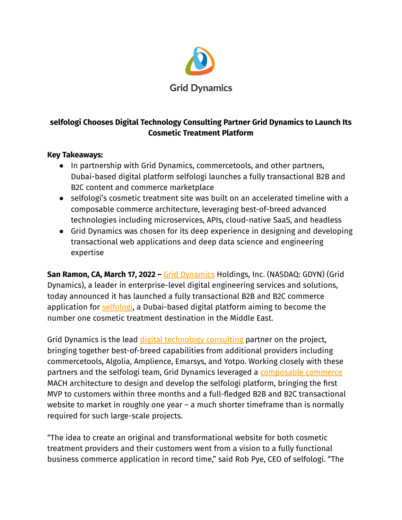

# **selfologi Chooses Digital Technology Consulting Partner Grid Dynamics to Launch Its Cosmetic Treatment Platform**

#### **Key Takeaways:**

- In partnership with Grid Dynamics, commercetools, and other partners, Dubai-based digital platform selfologi launches a fully transactional B2B and B2C content and commerce marketplace
- selfologi's cosmetic treatment site was built on an accelerated timeline with a composable commerce architecture, leveraging best-of-breed advanced technologies including microservices, APIs, cloud-native SaaS, and headless
- Grid Dynamics was chosen for its deep experience in designing and developing transactional web applications and deep data science and engineering expertise

**San Ramon, CA, March 17, 2022 –** Grid [Dynamics](https://www.griddynamics.com/) Holdings, Inc. (NASDAQ: GDYN) (Grid Dynamics), a leader in enterprise-level digital engineering services and solutions, today announced it has launched a fully transactional B2B and B2C commerce application for [selfologi](https://www.selfologi.com/), a Dubai-based digital platform aiming to become the number one cosmetic treatment destination in the Middle East.

Grid Dynamics is the lead digital [technology](https://www.griddynamics.com/services/technology-strategy-consulting) consulting partner on the project, bringing together best-of-breed capabilities from additional providers including commercetools, Algolia, Amplience, Emarsys, and Yotpo. Working closely with these partners and the selfologi team, Grid Dynamics leveraged a [composable](https://www.griddynamics.com/solutions/unified-commerce) commerce MACH architecture to design and develop the selfologi platform, bringing the first MVP to customers within three months and a full-fledged B2B and B2C transactional website to market in roughly one year – a much shorter timeframe than is normally required for such large-scale projects.

"The idea to create an original and transformational website for both cosmetic treatment providers and their customers went from a vision to a fully functional business commerce application in record time," said Rob Pye, CEO of selfologi. "The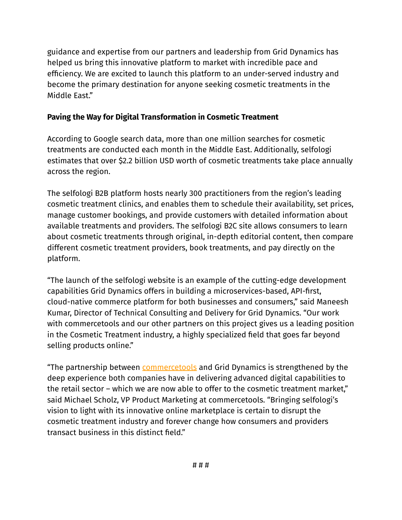guidance and expertise from our partners and leadership from Grid Dynamics has helped us bring this innovative platform to market with incredible pace and efficiency. We are excited to launch this platform to an under-served industry and become the primary destination for anyone seeking cosmetic treatments in the Middle East."

## **Paving the Way for Digital Transformation in Cosmetic Treatment**

According to Google search data, more than one million searches for cosmetic treatments are conducted each month in the Middle East. Additionally, selfologi estimates that over \$2.2 billion USD worth of cosmetic treatments take place annually across the region.

The selfologi B2B platform hosts nearly 300 practitioners from the region's leading cosmetic treatment clinics, and enables them to schedule their availability, set prices, manage customer bookings, and provide customers with detailed information about available treatments and providers. The selfologi B2C site allows consumers to learn about cosmetic treatments through original, in-depth editorial content, then compare different cosmetic treatment providers, book treatments, and pay directly on the platform.

"The launch of the selfologi website is an example of the cutting-edge development capabilities Grid Dynamics offers in building a microservices-based, API-first, cloud-native commerce platform for both businesses and consumers," said Maneesh Kumar, Director of Technical Consulting and Delivery for Grid Dynamics. "Our work with commercetools and our other partners on this project gives us a leading position in the Cosmetic Treatment industry, a highly specialized field that goes far beyond selling products online."

"The partnership between [commercetools](https://commercetools.com/) and Grid Dynamics is strengthened by the deep experience both companies have in delivering advanced digital capabilities to the retail sector – which we are now able to offer to the cosmetic treatment market," said Michael Scholz, VP Product Marketing at commercetools. "Bringing selfologi's vision to light with its innovative online marketplace is certain to disrupt the cosmetic treatment industry and forever change how consumers and providers transact business in this distinct field."